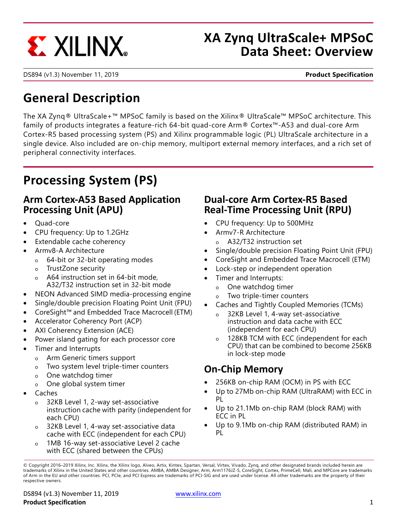

# **XA Zynq UltraScale+ MPSoC Data Sheet: Overview**

DS894 (v1.3) November 11, 2019 **Product Specification**

# **General Description**

The XA Zynq® UltraScale+™ MPSoC family is based on the Xilinx® UltraScale™ MPSoC architecture. This family of products integrates a feature-rich 64-bit quad-core Arm® Cortex™-A53 and dual-core Arm Cortex-R5 based processing system (PS) and Xilinx programmable logic (PL) UltraScale architecture in a single device. Also included are on-chip memory, multiport external memory interfaces, and a rich set of peripheral connectivity interfaces.

# **Processing System (PS)**

### **Arm Cortex-A53 Based Application Processing Unit (APU)**

- Quad-core
- CPU frequency: Up to 1.2GHz
- Extendable cache coherency
- Armv8-A Architecture
	- o 64-bit or 32-bit operating modes
	- o TrustZone security
	- A64 instruction set in 64-bit mode, A32/T32 instruction set in 32-bit mode
- NEON Advanced SIMD media-processing engine
- Single/double precision Floating Point Unit (FPU)
- CoreSight™ and Embedded Trace Macrocell (ETM)
- Accelerator Coherency Port (ACP)
- AXI Coherency Extension (ACE)
- Power island gating for each processor core
- Timer and Interrupts
	- o Arm Generic timers support
	- o Two system level triple-timer counters
	- o One watchdog timer
	- o One global system timer
- Caches
	- o 32KB Level 1, 2-way set-associative instruction cache with parity (independent for each CPU)
	- o 32KB Level 1, 4-way set-associative data cache with ECC (independent for each CPU)
	- 1MB 16-way set-associative Level 2 cache with ECC (shared between the CPUs)

### **Dual-core Arm Cortex-R5 Based Real-Time Processing Unit (RPU)**

- CPU frequency: Up to 500MHz
- Armv7-R Architecture
	- o A32/T32 instruction set
- Single/double precision Floating Point Unit (FPU)
- CoreSight and Embedded Trace Macrocell (ETM)
- Lock-step or independent operation
- Timer and Interrupts:
	- o One watchdog timer
	- o Two triple-timer counters
- Caches and Tightly Coupled Memories (TCMs)
	- o 32KB Level 1, 4-way set-associative instruction and data cache with ECC (independent for each CPU)
	- o 128KB TCM with ECC (independent for each CPU) that can be combined to become 256KB in lock-step mode

# <span id="page-0-0"></span>**On-Chip Memory**

- 256KB on-chip RAM (OCM) in PS with ECC
- Up to 27Mb on-chip RAM (UltraRAM) with ECC in PL
- Up to 21.1Mb on-chip RAM (block RAM) with ECC in PL
- Up to 9.1Mb on-chip RAM (distributed RAM) in PL

<sup>©</sup> Copyright 2016–2019 Xilinx, Inc. Xilinx, the Xilinx logo, Alveo, Artix, Kintex, Spartan, Versal, Virtex, Vivado, Zynq, and other designated brands included herein are trademarks of Xilinx in the United States and other countries. AMBA, AMBA Designer, Arm, Arm1176JZ-S, CoreSight, Cortex, PrimeCell, Mali, and MPCore are trademarks of Arm in the EU and other countries. PCI, PCIe, and PCI Express are trademarks of PCI-SIG and are used under license. All other trademarks are the property of their respective owners.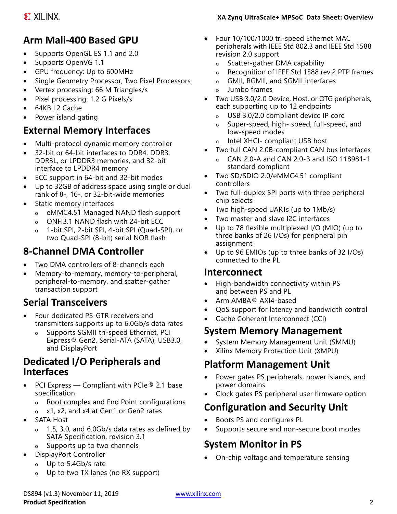# **Arm Mali-400 Based GPU**

- Supports OpenGL ES 1.1 and 2.0
- Supports OpenVG 1.1
- GPU frequency: Up to 600MHz
- Single Geometry Processor, Two Pixel Processors
- Vertex processing: 66 M Triangles/s
- Pixel processing: 1.2 G Pixels/s
- 64KB L2 Cache
- Power island gating

# **External Memory Interfaces**

- Multi-protocol dynamic memory controller
- 32-bit or 64-bit interfaces to DDR4, DDR3, DDR3L, or LPDDR3 memories, and 32-bit interface to LPDDR4 memory
- ECC support in 64-bit and 32-bit modes
- Up to 32GB of address space using single or dual rank of 8-, 16-, or 32-bit-wide memories
- Static memory interfaces
	- o eMMC4.51 Managed NAND flash support
	- o ONFI3.1 NAND flash with 24-bit ECC
	- 1-bit SPI, 2-bit SPI, 4-bit SPI (Quad-SPI), or two Quad-SPI (8-bit) serial NOR flash

# **8-Channel DMA Controller**

- Two DMA controllers of 8-channels each
- Memory-to-memory, memory-to-peripheral, peripheral-to-memory, and scatter-gather transaction support

# **Serial Transceivers**

- Four dedicated PS-GTR receivers and transmitters supports up to 6.0Gb/s data rates
	- o Supports SGMII tri-speed Ethernet, PCI Express® Gen2, Serial-ATA (SATA), USB3.0, and DisplayPort

### **Dedicated I/O Peripherals and Interfaces**

- PCI Express Compliant with PCIe® 2.1 base specification
	- o Root complex and End Point configurations
	- o x1, x2, and x4 at Gen1 or Gen2 rates
- SATA Host
	- o 1.5, 3.0, and 6.0Gb/s data rates as defined by SATA Specification, revision 3.1
	- o Supports up to two channels
- DisplayPort Controller
	- o Up to 5.4Gb/s rate
	- o Up to two TX lanes (no RX support)

#### **XA Zynq UltraScale+ MPSoC Data Sheet: Overview**

- Four 10/100/1000 tri-speed Ethernet MAC peripherals with IEEE Std 802.3 and IEEE Std 1588 revision 2.0 support
	- o Scatter-gather DMA capability
	- o Recognition of IEEE Std 1588 rev.2 PTP frames
	- o GMII, RGMII, and SGMII interfaces
	- o Jumbo frames
- Two USB 3.0/2.0 Device, Host, or OTG peripherals, each supporting up to 12 endpoints
	- o USB 3.0/2.0 compliant device IP core
	- o Super-speed, high- speed, full-speed, and low-speed modes
	- o Intel XHCI- compliant USB host
- Two full CAN 2.0B-compliant CAN bus interfaces
	- o CAN 2.0-A and CAN 2.0-B and ISO 118981-1 standard compliant
- Two SD/SDIO 2.0/eMMC4.51 compliant controllers
- Two full-duplex SPI ports with three peripheral chip selects
- Two high-speed UARTs (up to 1Mb/s)
- Two master and slave I2C interfaces
- Up to 78 flexible multiplexed I/O (MIO) (up to three banks of 26 I/Os) for peripheral pin assignment
- Up to 96 EMIOs (up to three banks of 32 I/Os) connected to the PL

### **Interconnect**

- High-bandwidth connectivity within PS and between PS and PL
- Arm AMBA® AXI4-based
- QoS support for latency and bandwidth control
- Cache Coherent Interconnect (CCI)

### **System Memory Management**

- System Memory Management Unit (SMMU)
- Xilinx Memory Protection Unit (XMPU)

# **Platform Management Unit**

- Power gates PS peripherals, power islands, and power domains
- Clock gates PS peripheral user firmware option

# **Configuration and Security Unit**

- Boots PS and configures PL
- Supports secure and non-secure boot modes

# **System Monitor in PS**

• On-chip voltage and temperature sensing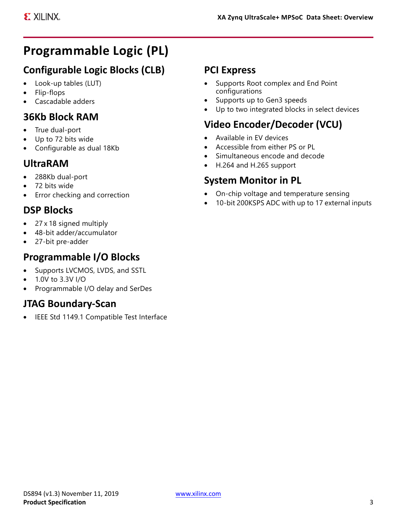# **Programmable Logic (PL)**

# **Configurable Logic Blocks (CLB)**

- Look-up tables (LUT)
- Flip-flops
- Cascadable adders

## **36Kb Block RAM**

- True dual-port
- Up to 72 bits wide
- Configurable as dual 18Kb

## **UltraRAM**

- 288Kb dual-port
- 72 bits wide
- Error checking and correction

# **DSP Blocks**

- 27 x 18 signed multiply
- 48-bit adder/accumulator
- 27-bit pre-adder

### **Programmable I/O Blocks**

- Supports LVCMOS, LVDS, and SSTL
- 1.0V to 3.3V I/O
- Programmable I/O delay and SerDes

# **JTAG Boundary-Scan**

IEEE Std 1149.1 Compatible Test Interface

### **PCI Express**

- Supports Root complex and End Point configurations
- Supports up to Gen3 speeds
- Up to two integrated blocks in select devices

# **Video Encoder/Decoder (VCU)**

- Available in EV devices
- Accessible from either PS or PL
- Simultaneous encode and decode
- H.264 and H.265 support

### **System Monitor in PL**

- On-chip voltage and temperature sensing
- 10-bit 200KSPS ADC with up to 17 external inputs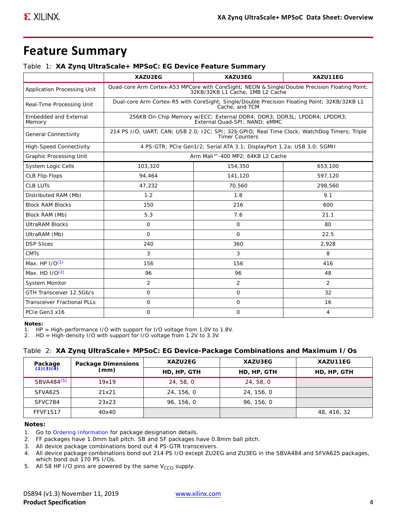# **Feature Summary**

#### <span id="page-3-6"></span>*Table 1:* **XA Zynq UltraScale+ MPSoC: EG Device Feature Summary**

|                                        | XAZU2EG                       | XAZU3EG                                                                                                                            | XAZU11EG       |  |  |  |  |
|----------------------------------------|-------------------------------|------------------------------------------------------------------------------------------------------------------------------------|----------------|--|--|--|--|
| Application Processing Unit            |                               | Quad-core Arm Cortex-A53 MPCore with CoreSight; NEON & Single/Double Precision Floating Point;<br>32KB/32KB L1 Cache, 1MB L2 Cache |                |  |  |  |  |
| Real-Time Processing Unit              |                               | Dual-core Arm Cortex-R5 with CoreSight; Single/Double Precision Floating Point; 32KB/32KB L1<br>Cache, and TCM                     |                |  |  |  |  |
| <b>Embedded and External</b><br>Memory |                               | 256KB On-Chip Memory w/ECC; External DDR4; DDR3; DDR3L; LPDDR4; LPDDR3;<br>External Quad-SPI; NAND; eMMC                           |                |  |  |  |  |
| General Connectivity                   |                               | 214 PS I/O; UART; CAN; USB 2.0; I2C; SPI; 32b GPIO; Real Time Clock; WatchDog Timers; Triple<br><b>Timer Counters</b>              |                |  |  |  |  |
| <b>High-Speed Connectivity</b>         |                               | 4 PS-GTR; PCIe Gen1/2; Serial ATA 3.1; DisplayPort 1.2a; USB 3.0; SGMII                                                            |                |  |  |  |  |
| Graphic Processing Unit                |                               | Arm Mali™-400 MP2; 64KB L2 Cache                                                                                                   |                |  |  |  |  |
| System Logic Cells                     | 103,320<br>154,350<br>653,100 |                                                                                                                                    |                |  |  |  |  |
| CLB Flip-Flops                         | 94,464                        | 141,120                                                                                                                            | 597,120        |  |  |  |  |
| <b>CLB LUTs</b>                        | 47,232                        | 70,560                                                                                                                             | 298,560        |  |  |  |  |
| Distributed RAM (Mb)                   | 1.2                           | 1.8                                                                                                                                | 9.1            |  |  |  |  |
| <b>Block RAM Blocks</b>                | 150                           | 216                                                                                                                                | 600            |  |  |  |  |
| Block RAM (Mb)                         | 5.3                           | 7.6                                                                                                                                | 21.1           |  |  |  |  |
| <b>UltraRAM Blocks</b>                 | $\overline{O}$                | $\mathbf{O}$                                                                                                                       | 80             |  |  |  |  |
| UltraRAM (Mb)                          | $\Omega$                      | $\Omega$                                                                                                                           | 22.5           |  |  |  |  |
| <b>DSP Slices</b>                      | 240                           | 360                                                                                                                                | 2,928          |  |  |  |  |
| <b>CMTs</b>                            | 3                             | 3                                                                                                                                  | 8              |  |  |  |  |
| Max. HP $1/O(1)$                       | 156                           | 156                                                                                                                                | 416            |  |  |  |  |
| Max. HD $1/O(2)$                       | 96                            | 96                                                                                                                                 | 48             |  |  |  |  |
| System Monitor                         | $\overline{2}$                | $\overline{2}$                                                                                                                     | $\overline{2}$ |  |  |  |  |
| GTH Transceiver 12.5Gb/s               | $\Omega$                      | $\mathbf{O}$                                                                                                                       | 32             |  |  |  |  |
| <b>Transceiver Fractional PLLs</b>     | $\mathbf 0$                   | 0                                                                                                                                  | 16             |  |  |  |  |
| PCIe Gen3 x16                          | $\mathbf 0$                   | 0                                                                                                                                  | $\overline{4}$ |  |  |  |  |

#### **Notes:**

<span id="page-3-2"></span>1. HP = High-performance I/O with support for I/O voltage from 1.0V to 1.8V.

<span id="page-3-3"></span>2. HD = High-density I/O with support for I/O voltage from 1.2V to 3.3V.

#### <span id="page-3-7"></span>*Table 2:* **XA Zynq UltraScale+ MPSoC: EG Device-Package Combinations and Maximum I/Os**

| Package<br>(1)(3)(4)   | Package Dimensions | XAZU2EG     | XAZU3EG     | XAZU11EG    |
|------------------------|--------------------|-------------|-------------|-------------|
|                        | (mm)               | HD, HP, GTH | HD, HP, GTH | HD, HP, GTH |
| SBVA484 <sup>(5)</sup> | 19x19              | 24, 58, 0   | 24, 58, 0   |             |
| SFVA625                | 21x21              | 24, 156, 0  | 24, 156, 0  |             |
| SFVC784                | 23x23              | 96, 156, 0  | 96, 156, 0  |             |
| <b>FFVF1517</b>        | 40x40              |             |             | 48, 416, 32 |

#### **Notes:**

<span id="page-3-0"></span>1. Go to [Ordering Information](#page-34-0) for package designation details.

2. FF packages have 1.0mm ball pitch. SB and SF packages have 0.8mm ball pitch.

<span id="page-3-4"></span>3. All device package combinations bond out 4 PS-GTR transceivers.

- <span id="page-3-5"></span>4. All device package combinations bond out 214 PS I/O except ZU2EG and ZU3EG in the SBVA484 and SFVA625 packages, which bond out 170 PS I/Os.
- <span id="page-3-1"></span>5. All 58 HP I/O pins are powered by the same  $V_{CCO}$  supply.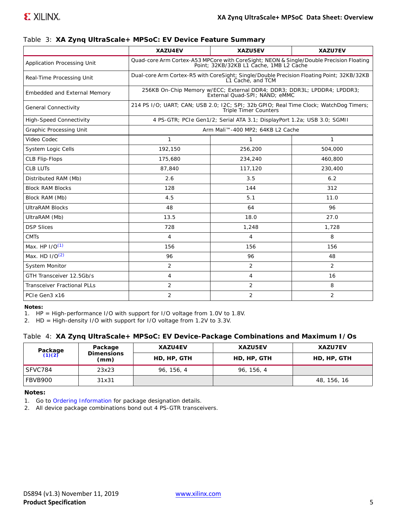<span id="page-4-4"></span>*Table 3:* **XA Zynq UltraScale+ MPSoC: EV Device Feature Summary**

|                                    | XAZU4EV                                                                                                        | XAZU5EV                                                                                                                            | XAZU7EV        |  |  |
|------------------------------------|----------------------------------------------------------------------------------------------------------------|------------------------------------------------------------------------------------------------------------------------------------|----------------|--|--|
| Application Processing Unit        |                                                                                                                | Quad-core Arm Cortex-A53 MPCore with CoreSight; NEON & Single/Double Precision Floating<br>Point; 32KB/32KB L1 Cache, 1MB L2 Cache |                |  |  |
| Real-Time Processing Unit          | Dual-core Arm Cortex-R5 with CoreSight; Single/Double Precision Floating Point; 32KB/32KB<br>L1 Cache, and TCM |                                                                                                                                    |                |  |  |
| Embedded and External Memory       |                                                                                                                | 256KB On-Chip Memory w/ECC; External DDR4; DDR3; DDR3L; LPDDR4; LPDDR3;<br>External Quad-SPI; NAND; eMMC                           |                |  |  |
| <b>General Connectivity</b>        |                                                                                                                | 214 PS I/O; UART; CAN; USB 2.0; I2C; SPI; 32b GPIO; Real Time Clock; WatchDog Timers;<br><b>Triple Timer Counters</b>              |                |  |  |
| <b>High-Speed Connectivity</b>     |                                                                                                                | 4 PS-GTR; PCIe Gen1/2; Serial ATA 3.1; DisplayPort 1.2a; USB 3.0; SGMII                                                            |                |  |  |
| <b>Graphic Processing Unit</b>     |                                                                                                                | Arm Mali™-400 MP2; 64KB L2 Cache                                                                                                   |                |  |  |
| Video Codec                        | $\mathbf{1}$                                                                                                   | $\mathbf{1}$                                                                                                                       | $\mathbf{1}$   |  |  |
| <b>System Logic Cells</b>          | 192.150                                                                                                        | 256,200                                                                                                                            | 504,000        |  |  |
| <b>CLB Flip-Flops</b>              | 175,680                                                                                                        | 234,240                                                                                                                            | 460,800        |  |  |
| <b>CLB LUTs</b>                    | 87,840                                                                                                         | 117,120                                                                                                                            | 230,400        |  |  |
| Distributed RAM (Mb)               | 2.6                                                                                                            | 3.5                                                                                                                                | 6.2            |  |  |
| <b>Block RAM Blocks</b>            | 128                                                                                                            | 144                                                                                                                                | 312            |  |  |
| Block RAM (Mb)                     | 4.5                                                                                                            | 5.1                                                                                                                                | 11.0           |  |  |
| <b>UltraRAM Blocks</b>             | 48                                                                                                             | 64                                                                                                                                 | 96             |  |  |
| UltraRAM (Mb)                      | 13.5                                                                                                           | 18.0                                                                                                                               | 27.0           |  |  |
| <b>DSP Slices</b>                  | 728                                                                                                            | 1,248                                                                                                                              | 1,728          |  |  |
| <b>CMTs</b>                        | $\overline{4}$                                                                                                 | $\overline{4}$                                                                                                                     | 8              |  |  |
| Max. HP $I/O(1)$                   | 156                                                                                                            | 156                                                                                                                                | 156            |  |  |
| Max. HD I/O(2)                     | 96                                                                                                             | 96                                                                                                                                 | 48             |  |  |
| System Monitor                     | $\overline{2}$                                                                                                 | 2                                                                                                                                  | $\overline{2}$ |  |  |
| GTH Transceiver 12.5Gb/s           | $\overline{4}$                                                                                                 | $\overline{4}$                                                                                                                     | 16             |  |  |
| <b>Transceiver Fractional PLLs</b> | $\overline{2}$                                                                                                 | 2                                                                                                                                  | 8              |  |  |
| PCIe Gen3 x16                      | $\overline{2}$                                                                                                 | 2                                                                                                                                  | $\overline{2}$ |  |  |

#### **Notes:**

<span id="page-4-0"></span>1. HP = High-performance I/O with support for I/O voltage from 1.0V to 1.8V.

<span id="page-4-1"></span>2. HD = High-density I/O with support for I/O voltage from 1.2V to 3.3V.

#### <span id="page-4-5"></span>*Table 4:* **XA Zynq UltraScale+ MPSoC: EV Device-Package Combinations and Maximum I/Os**

|                   | Package                   | <b>XAZU4EV</b> | XAZU5EV     | XAZU7EV     |
|-------------------|---------------------------|----------------|-------------|-------------|
| Package<br>(1)(2) | <b>Dimensions</b><br>(mm) | HD, HP, GTH    | HD, HP, GTH | HD, HP, GTH |
| SFVC784           | 23x23                     | 96, 156, 4     | 96, 156, 4  |             |
| FBVB900           | 31x31                     |                |             | 48, 156, 16 |

#### **Notes:**

<span id="page-4-2"></span>1. Go to [Ordering Information](#page-34-0) for package designation details.

<span id="page-4-3"></span>2. All device package combinations bond out 4 PS-GTR transceivers.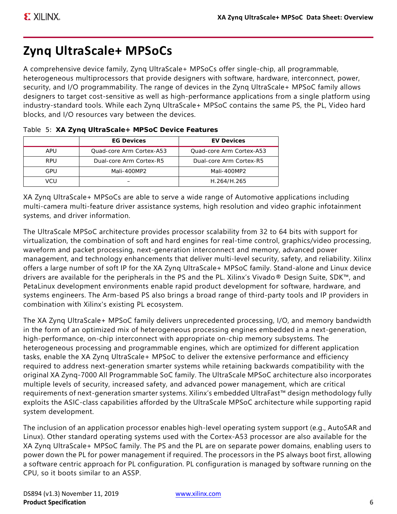# **Zynq UltraScale+ MPSoCs**

A comprehensive device family, Zynq UltraScale+ MPSoCs offer single-chip, all programmable, heterogeneous multiprocessors that provide designers with software, hardware, interconnect, power, security, and I/O programmability. The range of devices in the Zynq UltraScale+ MPSoC family allows designers to target cost-sensitive as well as high-performance applications from a single platform using industry-standard tools. While each Zynq UltraScale+ MPSoC contains the same PS, the PL, Video hard blocks, and I/O resources vary between the devices.

|            | <b>EG Devices</b>        | <b>EV Devices</b>        |
|------------|--------------------------|--------------------------|
| APU        | Ouad-core Arm Cortex-A53 | Quad-core Arm Cortex-A53 |
| <b>RPU</b> | Dual-core Arm Cortex-R5  | Dual-core Arm Cortex-R5  |
| GPU        | Mali-400MP2              | Mali-400MP2              |
| VCU        |                          | H.264/H.265              |

|  |  |  | Table 5: XA Zynq UltraScale+ MPSoC Device Features |  |  |  |
|--|--|--|----------------------------------------------------|--|--|--|
|--|--|--|----------------------------------------------------|--|--|--|

XA Zynq UltraScale+ MPSoCs are able to serve a wide range of Automotive applications including multi-camera multi-feature driver assistance systems, high resolution and video graphic infotainment systems, and driver information.

The UltraScale MPSoC architecture provides processor scalability from 32 to 64 bits with support for virtualization, the combination of soft and hard engines for real-time control, graphics/video processing, waveform and packet processing, next-generation interconnect and memory, advanced power management, and technology enhancements that deliver multi-level security, safety, and reliability. Xilinx offers a large number of soft IP for the XA Zynq UltraScale+ MPSoC family. Stand-alone and Linux device drivers are available for the peripherals in the PS and the PL. Xilinx's Vivado® Design Suite, SDK™, and PetaLinux development environments enable rapid product development for software, hardware, and systems engineers. The Arm-based PS also brings a broad range of third-party tools and IP providers in combination with Xilinx's existing PL ecosystem.

The XA Zynq UltraScale+ MPSoC family delivers unprecedented processing, I/O, and memory bandwidth in the form of an optimized mix of heterogeneous processing engines embedded in a next-generation, high-performance, on-chip interconnect with appropriate on-chip memory subsystems. The heterogeneous processing and programmable engines, which are optimized for different application tasks, enable the XA Zynq UltraScale+ MPSoC to deliver the extensive performance and efficiency required to address next-generation smarter systems while retaining backwards compatibility with the original XA Zynq-7000 All Programmable SoC family. The UltraScale MPSoC architecture also incorporates multiple levels of security, increased safety, and advanced power management, which are critical requirements of next-generation smarter systems. Xilinx's embedded UltraFast™ design methodology fully exploits the ASIC-class capabilities afforded by the UltraScale MPSoC architecture while supporting rapid system development.

The inclusion of an application processor enables high-level operating system support (e.g., AutoSAR and Linux). Other standard operating systems used with the Cortex-A53 processor are also available for the XA Zynq UltraScale+ MPSoC family. The PS and the PL are on separate power domains, enabling users to power down the PL for power management if required. The processors in the PS always boot first, allowing a software centric approach for PL configuration. PL configuration is managed by software running on the CPU, so it boots similar to an ASSP.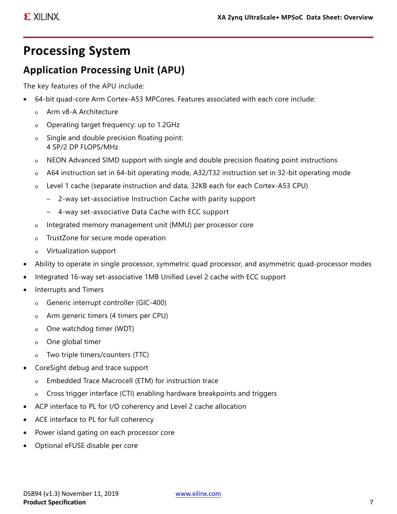# **Processing System**

# <span id="page-6-0"></span>**Application Processing Unit (APU)**

The key features of the APU include:

- 64-bit quad-core Arm Cortex-A53 MPCores. Features associated with each core include:
	- o Arm v8-A Architecture
	- o Operating target frequency: up to 1.2GHz
	- o Single and double precision floating point: 4 SP/2 DP FLOPS/MHz
	- NEON Advanced SIMD support with single and double precision floating point instructions
	- o A64 instruction set in 64-bit operating mode, A32/T32 instruction set in 32-bit operating mode
	- o Level 1 cache (separate instruction and data, 32KB each for each Cortex-A53 CPU)
		- 2-way set-associative Instruction Cache with parity support
		- 4-way set-associative Data Cache with ECC support
	- o Integrated memory management unit (MMU) per processor core
	- o TrustZone for secure mode operation
	- o Virtualization support
- Ability to operate in single processor, symmetric quad processor, and asymmetric quad-processor modes
- Integrated 16-way set-associative 1MB Unified Level 2 cache with ECC support
- Interrupts and Timers
	- o Generic interrupt controller (GIC-400)
	- o Arm generic timers (4 timers per CPU)
	- o One watchdog timer (WDT)
	- o One global timer
	- o Two triple timers/counters (TTC)
- CoreSight debug and trace support
	- o Embedded Trace Macrocell (ETM) for instruction trace
	- o Cross trigger interface (CTI) enabling hardware breakpoints and triggers
- ACP interface to PL for I/O coherency and Level 2 cache allocation
- ACE interface to PL for full coherency
- Power island gating on each processor core
- Optional eFUSE disable per core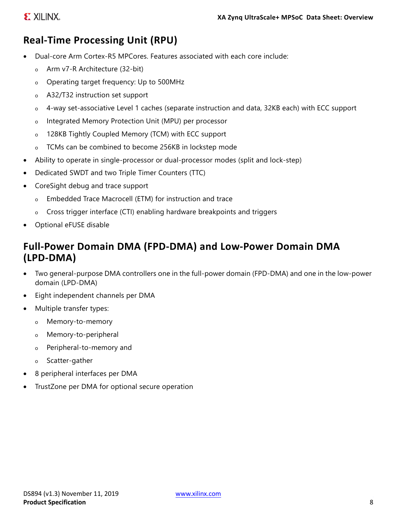# <span id="page-7-0"></span>**Real-Time Processing Unit (RPU)**

- Dual-core Arm Cortex-R5 MPCores. Features associated with each core include:
	- o Arm v7-R Architecture (32-bit)
	- o Operating target frequency: Up to 500MHz
	- o A32/T32 instruction set support
	- o 4-way set-associative Level 1 caches (separate instruction and data, 32KB each) with ECC support
	- o Integrated Memory Protection Unit (MPU) per processor
	- o 128KB Tightly Coupled Memory (TCM) with ECC support
	- o TCMs can be combined to become 256KB in lockstep mode
- Ability to operate in single-processor or dual-processor modes (split and lock-step)
- Dedicated SWDT and two Triple Timer Counters (TTC)
- CoreSight debug and trace support
	- o Embedded Trace Macrocell (ETM) for instruction and trace
	- o Cross trigger interface (CTI) enabling hardware breakpoints and triggers
- Optional eFUSE disable

## **Full-Power Domain DMA (FPD-DMA) and Low-Power Domain DMA (LPD-DMA)**

- Two general-purpose DMA controllers one in the full-power domain (FPD-DMA) and one in the low-power domain (LPD-DMA)
- Eight independent channels per DMA
- Multiple transfer types:
	- o Memory-to-memory
	- o Memory-to-peripheral
	- o Peripheral-to-memory and
	- o Scatter-gather
- 8 peripheral interfaces per DMA
- TrustZone per DMA for optional secure operation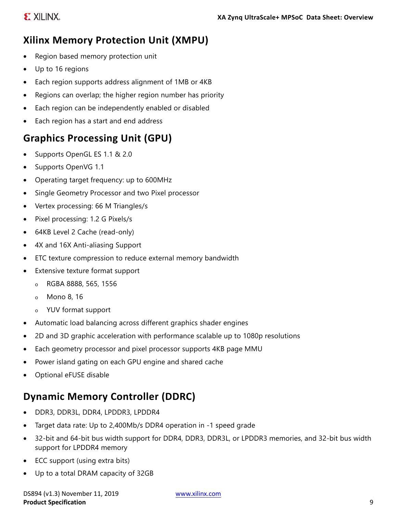# **Xilinx Memory Protection Unit (XMPU)**

- Region based memory protection unit
- Up to 16 regions
- Each region supports address alignment of 1MB or 4KB
- Regions can overlap; the higher region number has priority
- Each region can be independently enabled or disabled
- Each region has a start and end address

# **Graphics Processing Unit (GPU)**

- Supports OpenGL ES 1.1 & 2.0
- Supports OpenVG 1.1
- Operating target frequency: up to 600MHz
- Single Geometry Processor and two Pixel processor
- Vertex processing: 66 M Triangles/s
- Pixel processing: 1.2 G Pixels/s
- 64KB Level 2 Cache (read-only)
- 4X and 16X Anti-aliasing Support
- ETC texture compression to reduce external memory bandwidth
- Extensive texture format support
	- o RGBA 8888, 565, 1556
	- o Mono 8, 16
	- o YUV format support
- Automatic load balancing across different graphics shader engines
- 2D and 3D graphic acceleration with performance scalable up to 1080p resolutions
- Each geometry processor and pixel processor supports 4KB page MMU
- Power island gating on each GPU engine and shared cache
- Optional eFUSE disable

# **Dynamic Memory Controller (DDRC)**

- DDR3, DDR3L, DDR4, LPDDR3, LPDDR4
- Target data rate: Up to 2,400Mb/s DDR4 operation in -1 speed grade
- 32-bit and 64-bit bus width support for DDR4, DDR3, DDR3L, or LPDDR3 memories, and 32-bit bus width support for LPDDR4 memory
- ECC support (using extra bits)
- Up to a total DRAM capacity of 32GB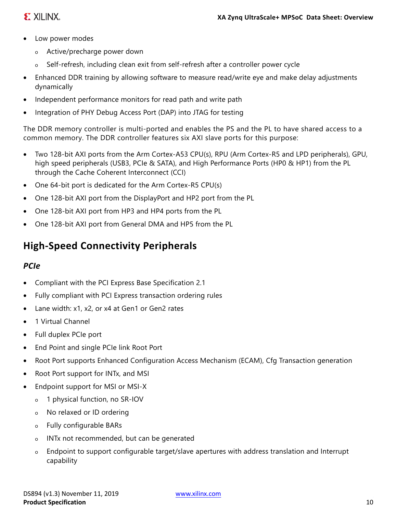# **EXILINX**

- Low power modes
	- o Active/precharge power down
	- Self-refresh, including clean exit from self-refresh after a controller power cycle
- Enhanced DDR training by allowing software to measure read/write eye and make delay adjustments dynamically
- Independent performance monitors for read path and write path
- Integration of PHY Debug Access Port (DAP) into JTAG for testing

The DDR memory controller is multi-ported and enables the PS and the PL to have shared access to a common memory. The DDR controller features six AXI slave ports for this purpose:

- Two 128-bit AXI ports from the Arm Cortex-A53 CPU(s), RPU (Arm Cortex-R5 and LPD peripherals), GPU, high speed peripherals (USB3, PCIe & SATA), and High Performance Ports (HP0 & HP1) from the PL through the Cache Coherent Interconnect (CCI)
- One 64-bit port is dedicated for the Arm Cortex-R5 CPU(s)
- One 128-bit AXI port from the DisplayPort and HP2 port from the PL
- One 128-bit AXI port from HP3 and HP4 ports from the PL
- One 128-bit AXI port from General DMA and HP5 from the PL

# **High-Speed Connectivity Peripherals**

### *PCIe*

- Compliant with the PCI Express Base Specification 2.1
- Fully compliant with PCI Express transaction ordering rules
- Lane width: x1, x2, or x4 at Gen1 or Gen2 rates
- 1 Virtual Channel
- Full duplex PCIe port
- End Point and single PCIe link Root Port
- Root Port supports Enhanced Configuration Access Mechanism (ECAM), Cfg Transaction generation
- Root Port support for INT<sub>x</sub>, and MSI
- Endpoint support for MSI or MSI-X
	- o 1 physical function, no SR-IOV
	- o No relaxed or ID ordering
	- o Fully configurable BARs
	- o INTx not recommended, but can be generated
	- o Endpoint to support configurable target/slave apertures with address translation and Interrupt capability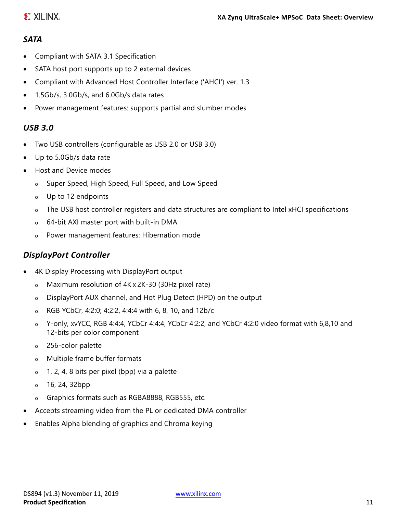## **EXILINX**

#### *SATA*

- Compliant with SATA 3.1 Specification
- SATA host port supports up to 2 external devices
- Compliant with Advanced Host Controller Interface ('AHCI') ver. 1.3
- 1.5Gb/s, 3.0Gb/s, and 6.0Gb/s data rates
- Power management features: supports partial and slumber modes

#### *USB 3.0*

- Two USB controllers (configurable as USB 2.0 or USB 3.0)
- Up to 5.0Gb/s data rate
- Host and Device modes
	- o Super Speed, High Speed, Full Speed, and Low Speed
	- o Up to 12 endpoints
	- o The USB host controller registers and data structures are compliant to Intel xHCI specifications
	- o 64-bit AXI master port with built-in DMA
	- o Power management features: Hibernation mode

#### *DisplayPort Controller*

- 4K Display Processing with DisplayPort output
	- o Maximum resolution of 4K x 2K-30 (30Hz pixel rate)
	- o DisplayPort AUX channel, and Hot Plug Detect (HPD) on the output
	- o RGB YCbCr, 4:2:0; 4:2:2, 4:4:4 with 6, 8, 10, and 12b/c
	- o Y-only, xvYCC, RGB 4:4:4, YCbCr 4:4:4, YCbCr 4:2:2, and YCbCr 4:2:0 video format with 6,8,10 and 12-bits per color component
	- o 256-color palette
	- o Multiple frame buffer formats
	- o 1, 2, 4, 8 bits per pixel (bpp) via a palette
	- o 16, 24, 32bpp
	- o Graphics formats such as RGBA8888, RGB555, etc.
- Accepts streaming video from the PL or dedicated DMA controller
- Enables Alpha blending of graphics and Chroma keying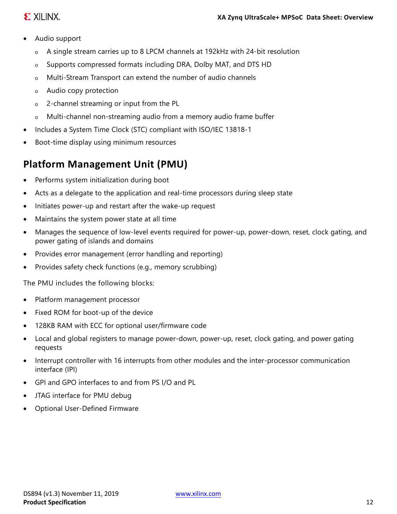### **E. XILINX.**

- Audio support
	- o A single stream carries up to 8 LPCM channels at 192kHz with 24-bit resolution
	- o Supports compressed formats including DRA, Dolby MAT, and DTS HD
	- o Multi-Stream Transport can extend the number of audio channels
	- o Audio copy protection
	- o 2-channel streaming or input from the PL
	- o Multi-channel non-streaming audio from a memory audio frame buffer
- Includes a System Time Clock (STC) compliant with ISO/IEC 13818-1
- Boot-time display using minimum resources

# **Platform Management Unit (PMU)**

- Performs system initialization during boot
- Acts as a delegate to the application and real-time processors during sleep state
- Initiates power-up and restart after the wake-up request
- Maintains the system power state at all time
- Manages the sequence of low-level events required for power-up, power-down, reset, clock gating, and power gating of islands and domains
- Provides error management (error handling and reporting)
- Provides safety check functions (e.g., memory scrubbing)

The PMU includes the following blocks:

- Platform management processor
- Fixed ROM for boot-up of the device
- 128KB RAM with ECC for optional user/firmware code
- Local and global registers to manage power-down, power-up, reset, clock gating, and power gating requests
- Interrupt controller with 16 interrupts from other modules and the inter-processor communication interface (IPI)
- GPI and GPO interfaces to and from PS I/O and PL
- JTAG interface for PMU debug
- Optional User-Defined Firmware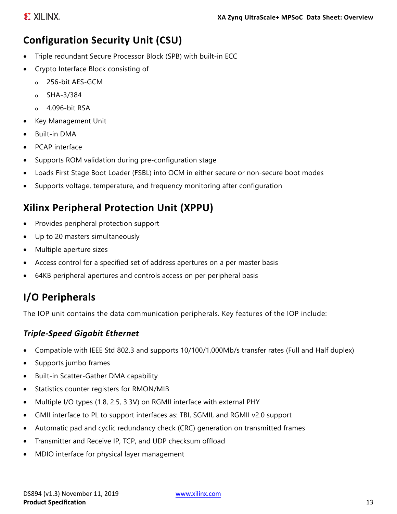# **Configuration Security Unit (CSU)**

- Triple redundant Secure Processor Block (SPB) with built-in ECC
- Crypto Interface Block consisting of
	- o 256-bit AES-GCM
	- o SHA-3/384
	- o 4,096-bit RSA
- Key Management Unit
- Built-in DMA
- PCAP interface
- Supports ROM validation during pre-configuration stage
- Loads First Stage Boot Loader (FSBL) into OCM in either secure or non-secure boot modes
- Supports voltage, temperature, and frequency monitoring after configuration

# **Xilinx Peripheral Protection Unit (XPPU)**

- Provides peripheral protection support
- Up to 20 masters simultaneously
- Multiple aperture sizes
- Access control for a specified set of address apertures on a per master basis
- 64KB peripheral apertures and controls access on per peripheral basis

# **I/O Peripherals**

The IOP unit contains the data communication peripherals. Key features of the IOP include:

#### *Triple-Speed Gigabit Ethernet*

- Compatible with IEEE Std 802.3 and supports 10/100/1,000Mb/s transfer rates (Full and Half duplex)
- Supports jumbo frames
- Built-in Scatter-Gather DMA capability
- Statistics counter registers for RMON/MIB
- Multiple I/O types (1.8, 2.5, 3.3V) on RGMII interface with external PHY
- GMII interface to PL to support interfaces as: TBI, SGMII, and RGMII v2.0 support
- Automatic pad and cyclic redundancy check (CRC) generation on transmitted frames
- Transmitter and Receive IP, TCP, and UDP checksum offload
- MDIO interface for physical layer management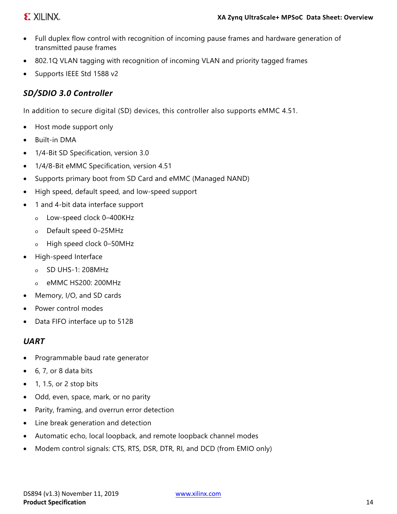### **EXILINX**

- Full duplex flow control with recognition of incoming pause frames and hardware generation of transmitted pause frames
- 802.1Q VLAN tagging with recognition of incoming VLAN and priority tagged frames
- Supports IEEE Std 1588 v2

#### *SD/SDIO 3.0 Controller*

In addition to secure digital (SD) devices, this controller also supports eMMC 4.51.

- Host mode support only
- Built-in DMA
- 1/4-Bit SD Specification, version 3.0
- 1/4/8-Bit eMMC Specification, version 4.51
- Supports primary boot from SD Card and eMMC (Managed NAND)
- High speed, default speed, and low-speed support
- 1 and 4-bit data interface support
	- o Low-speed clock 0–400KHz
	- o Default speed 0–25MHz
	- o High speed clock 0–50MHz
- High-speed Interface
	- o SD UHS-1: 208MHz
	- o eMMC HS200: 200MHz
- Memory, I/O, and SD cards
- Power control modes
- Data FIFO interface up to 512B

#### *UART*

- Programmable baud rate generator
- 6, 7, or 8 data bits
- $\bullet$  1, 1.5, or 2 stop bits
- Odd, even, space, mark, or no parity
- Parity, framing, and overrun error detection
- Line break generation and detection
- Automatic echo, local loopback, and remote loopback channel modes
- Modem control signals: CTS, RTS, DSR, DTR, RI, and DCD (from EMIO only)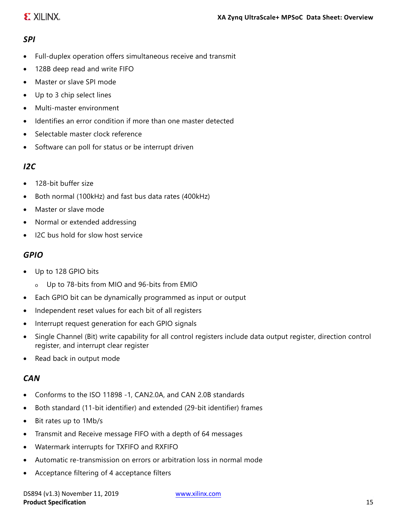#### *SPI*

- Full-duplex operation offers simultaneous receive and transmit
- 128B deep read and write FIFO
- Master or slave SPI mode
- Up to 3 chip select lines
- Multi-master environment
- Identifies an error condition if more than one master detected
- Selectable master clock reference
- Software can poll for status or be interrupt driven

#### *I2C*

- 128-bit buffer size
- Both normal (100kHz) and fast bus data rates (400kHz)
- Master or slave mode
- Normal or extended addressing
- I2C bus hold for slow host service

#### *GPIO*

- Up to 128 GPIO bits
	- o Up to 78-bits from MIO and 96-bits from EMIO
- Each GPIO bit can be dynamically programmed as input or output
- Independent reset values for each bit of all registers
- Interrupt request generation for each GPIO signals
- Single Channel (Bit) write capability for all control registers include data output register, direction control register, and interrupt clear register
- Read back in output mode

#### *CAN*

- Conforms to the ISO 11898 -1, CAN2.0A, and CAN 2.0B standards
- Both standard (11-bit identifier) and extended (29-bit identifier) frames
- Bit rates up to 1Mb/s
- Transmit and Receive message FIFO with a depth of 64 messages
- Watermark interrupts for TXFIFO and RXFIFO
- Automatic re-transmission on errors or arbitration loss in normal mode
- Acceptance filtering of 4 acceptance filters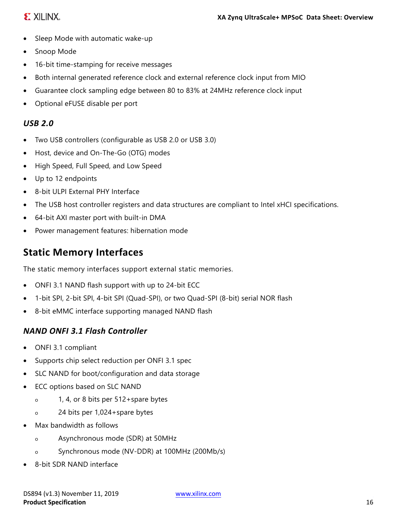### **EXILINX**

- Sleep Mode with automatic wake-up
- Snoop Mode
- 16-bit time-stamping for receive messages
- Both internal generated reference clock and external reference clock input from MIO
- Guarantee clock sampling edge between 80 to 83% at 24MHz reference clock input
- Optional eFUSE disable per port

### *USB 2.0*

- Two USB controllers (configurable as USB 2.0 or USB 3.0)
- Host, device and On-The-Go (OTG) modes
- High Speed, Full Speed, and Low Speed
- Up to 12 endpoints
- 8-bit ULPI External PHY Interface
- The USB host controller registers and data structures are compliant to Intel xHCI specifications.
- 64-bit AXI master port with built-in DMA
- Power management features: hibernation mode

# **Static Memory Interfaces**

The static memory interfaces support external static memories.

- ONFI 3.1 NAND flash support with up to 24-bit ECC
- 1-bit SPI, 2-bit SPI, 4-bit SPI (Quad-SPI), or two Quad-SPI (8-bit) serial NOR flash
- 8-bit eMMC interface supporting managed NAND flash

### *NAND ONFI 3.1 Flash Controller*

- ONFI 3.1 compliant
- Supports chip select reduction per ONFI 3.1 spec
- SLC NAND for boot/configuration and data storage
- ECC options based on SLC NAND
	- o 1, 4, or 8 bits per 512+spare bytes
	- o 24 bits per 1,024+spare bytes
- Max bandwidth as follows
	- o Asynchronous mode (SDR) at 50MHz
	- o Synchronous mode (NV-DDR) at 100MHz (200Mb/s)
- 8-bit SDR NAND interface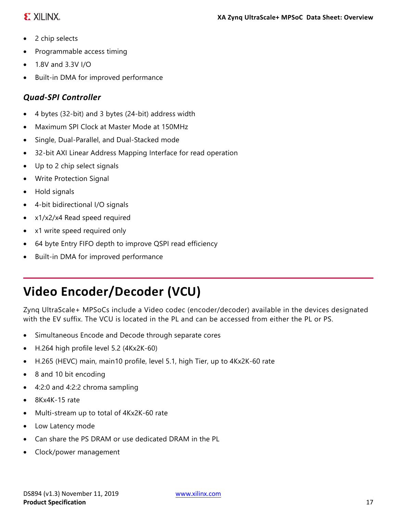### **EXILINX**

- 2 chip selects
- Programmable access timing
- 1.8V and 3.3V I/O
- Built-in DMA for improved performance

### *Quad-SPI Controller*

- 4 bytes (32-bit) and 3 bytes (24-bit) address width
- Maximum SPI Clock at Master Mode at 150MHz
- Single, Dual-Parallel, and Dual-Stacked mode
- 32-bit AXI Linear Address Mapping Interface for read operation
- Up to 2 chip select signals
- Write Protection Signal
- Hold signals
- 4-bit bidirectional I/O signals
- x1/x2/x4 Read speed required
- x1 write speed required only
- 64 byte Entry FIFO depth to improve QSPI read efficiency
- Built-in DMA for improved performance

# **Video Encoder/Decoder (VCU)**

Zynq UltraScale+ MPSoCs include a Video codec (encoder/decoder) available in the devices designated with the EV suffix. The VCU is located in the PL and can be accessed from either the PL or PS.

- Simultaneous Encode and Decode through separate cores
- H.264 high profile level 5.2 (4Kx2K-60)
- H.265 (HEVC) main, main10 profile, level 5.1, high Tier, up to 4Kx2K-60 rate
- 8 and 10 bit encoding
- 4:2:0 and 4:2:2 chroma sampling
- 8Kx4K-15 rate
- Multi-stream up to total of 4Kx2K-60 rate
- Low Latency mode
- Can share the PS DRAM or use dedicated DRAM in the PL
- Clock/power management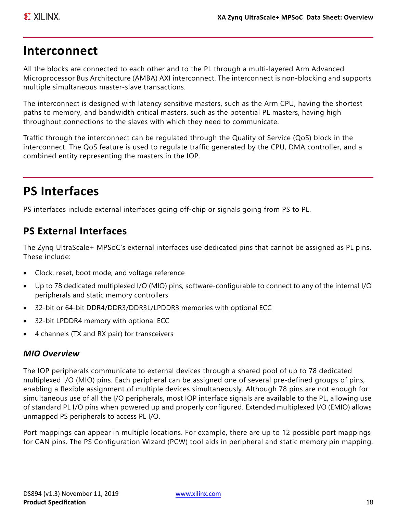# **Interconnect**

All the blocks are connected to each other and to the PL through a multi-layered Arm Advanced Microprocessor Bus Architecture (AMBA) AXI interconnect. The interconnect is non-blocking and supports multiple simultaneous master-slave transactions.

The interconnect is designed with latency sensitive masters, such as the Arm CPU, having the shortest paths to memory, and bandwidth critical masters, such as the potential PL masters, having high throughput connections to the slaves with which they need to communicate.

Traffic through the interconnect can be regulated through the Quality of Service (QoS) block in the interconnect. The QoS feature is used to regulate traffic generated by the CPU, DMA controller, and a combined entity representing the masters in the IOP.

# **PS Interfaces**

PS interfaces include external interfaces going off-chip or signals going from PS to PL.

# **PS External Interfaces**

The Zynq UltraScale+ MPSoC's external interfaces use dedicated pins that cannot be assigned as PL pins. These include:

- Clock, reset, boot mode, and voltage reference
- Up to 78 dedicated multiplexed I/O (MIO) pins, software-configurable to connect to any of the internal I/O peripherals and static memory controllers
- 32-bit or 64-bit DDR4/DDR3/DDR3L/LPDDR3 memories with optional ECC
- 32-bit LPDDR4 memory with optional ECC
- 4 channels (TX and RX pair) for transceivers

#### *MIO Overview*

The IOP peripherals communicate to external devices through a shared pool of up to 78 dedicated multiplexed I/O (MIO) pins. Each peripheral can be assigned one of several pre-defined groups of pins, enabling a flexible assignment of multiple devices simultaneously. Although 78 pins are not enough for simultaneous use of all the I/O peripherals, most IOP interface signals are available to the PL, allowing use of standard PL I/O pins when powered up and properly configured. Extended multiplexed I/O (EMIO) allows unmapped PS peripherals to access PL I/O.

Port mappings can appear in multiple locations. For example, there are up to 12 possible port mappings for CAN pins. The PS Configuration Wizard (PCW) tool aids in peripheral and static memory pin mapping.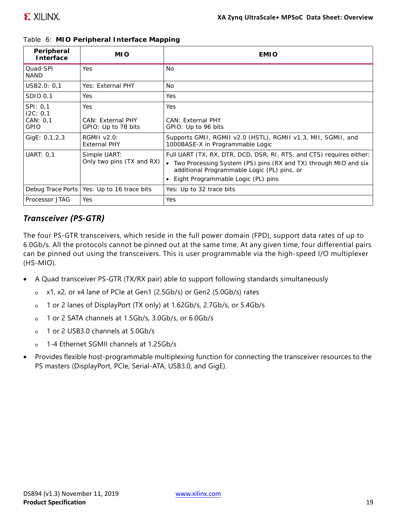| Peripheral<br>Interface                         | <b>MIO</b>                                             | <b>EMIO</b>                                                                                                                                                                                                                    |
|-------------------------------------------------|--------------------------------------------------------|--------------------------------------------------------------------------------------------------------------------------------------------------------------------------------------------------------------------------------|
| Quad-SPI<br><b>NAND</b>                         | Yes                                                    | <b>No</b>                                                                                                                                                                                                                      |
| USB2.0: 0,1                                     | Yes: External PHY                                      | No.                                                                                                                                                                                                                            |
| SDIO 0,1                                        | <b>Yes</b>                                             | Yes                                                                                                                                                                                                                            |
| SPI: 0,1<br>12C: 0,1<br>CAN: 0.1<br><b>GPIO</b> | <b>Yes</b><br>CAN: External PHY<br>GPIO: Up to 78 bits | Yes<br>CAN: External PHY<br>GPIO: Up to 96 bits                                                                                                                                                                                |
| GigE: 0,1,2,3                                   | <b>RGMII v2.0:</b><br><b>External PHY</b>              | Supports GMII, RGMII v2.0 (HSTL), RGMII v1.3, MII, SGMII, and<br>1000BASE-X in Programmable Logic                                                                                                                              |
| <b>UART: 0,1</b>                                | Simple UART:<br>Only two pins (TX and RX)              | Full UART (TX, RX, DTR, DCD, DSR, RI, RTS, and CTS) requires either:<br>• Two Processing System (PS) pins (RX and TX) through MIO and six<br>additional Programmable Logic (PL) pins, or<br>Eight Programmable Logic (PL) pins |
|                                                 | Debug Trace Ports   Yes: Up to 16 trace bits           | Yes: Up to 32 trace bits                                                                                                                                                                                                       |
| Processor JTAG                                  | Yes                                                    | Yes                                                                                                                                                                                                                            |

*Table 6:* **MIO Peripheral Interface Mapping**

#### *Transceiver (PS-GTR)*

The four PS-GTR transceivers, which reside in the full power domain (FPD), support data rates of up to 6.0Gb/s. All the protocols cannot be pinned out at the same time. At any given time, four differential pairs can be pinned out using the transceivers. This is user programmable via the high-speed I/O multiplexer (HS-MIO).

- A Quad transceiver PS-GTR (TX/RX pair) able to support following standards simultaneously
	- o x1, x2, or x4 lane of PCIe at Gen1 (2.5Gb/s) or Gen2 (5.0Gb/s) rates
	- o 1 or 2 lanes of DisplayPort (TX only) at 1.62Gb/s, 2.7Gb/s, or 5.4Gb/s
	- o 1 or 2 SATA channels at 1.5Gb/s, 3.0Gb/s, or 6.0Gb/s
	- o 1 or 2 USB3.0 channels at 5.0Gb/s
	- o 1-4 Ethernet SGMII channels at 1.25Gb/s
- Provides flexible host-programmable multiplexing function for connecting the transceiver resources to the PS masters (DisplayPort, PCIe, Serial-ATA, USB3.0, and GigE).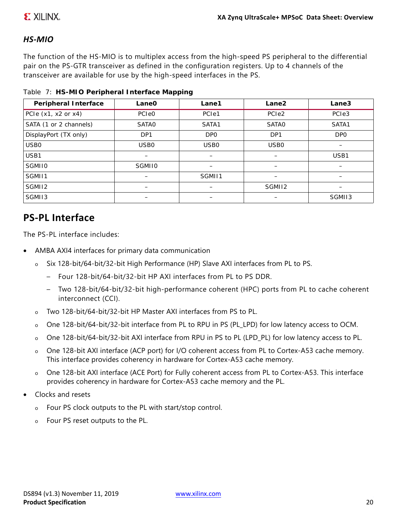### **E. XILINX.**

#### *HS-MIO*

The function of the HS-MIO is to multiplex access from the high-speed PS peripheral to the differential pair on the PS-GTR transceiver as defined in the configuration registers. Up to 4 channels of the transceiver are available for use by the high-speed interfaces in the PS.

|  | Table 7: HS-MIO Peripheral Interface Mapping |  |
|--|----------------------------------------------|--|

| Peripheral Interface    | Lane <sub>O</sub> | Lane1                                | Lane2             | Lane3             |
|-------------------------|-------------------|--------------------------------------|-------------------|-------------------|
| PCIe $(x1, x2$ or $x4)$ | <b>PCIeO</b>      | PC <sub>le</sub> 1                   | PCI <sub>e2</sub> | PCI <sub>e3</sub> |
| SATA (1 or 2 channels)  | <b>SATAO</b>      | SATA1                                | <b>SATAO</b>      | SATA1             |
| DisplayPort (TX only)   | DP <sub>1</sub>   | <b>DPO</b>                           | DP <sub>1</sub>   | <b>DPO</b>        |
| USB <sub>0</sub>        | USB <sub>0</sub>  | USB <sub>0</sub><br>USB <sub>0</sub> |                   |                   |
| USB1                    | -                 | —                                    |                   | USB1              |
| <b>SGMII0</b>           | <b>SGMII0</b>     |                                      |                   |                   |
| SGMI11                  |                   | SGMI11                               |                   |                   |
| SGMI12                  |                   |                                      | SGMI12            |                   |
| SGMI13                  |                   |                                      |                   | SGMII3            |

## **PS-PL Interface**

The PS-PL interface includes:

- AMBA AXI4 interfaces for primary data communication
	- o Six 128-bit/64-bit/32-bit High Performance (HP) Slave AXI interfaces from PL to PS.
		- Four 128-bit/64-bit/32-bit HP AXI interfaces from PL to PS DDR.
		- Two 128-bit/64-bit/32-bit high-performance coherent (HPC) ports from PL to cache coherent interconnect (CCI).
	- o Two 128-bit/64-bit/32-bit HP Master AXI interfaces from PS to PL.
	- o One 128-bit/64-bit/32-bit interface from PL to RPU in PS (PL\_LPD) for low latency access to OCM.
	- o One 128-bit/64-bit/32-bit AXI interface from RPU in PS to PL (LPD\_PL) for low latency access to PL.
	- One 128-bit AXI interface (ACP port) for I/O coherent access from PL to Cortex-A53 cache memory. This interface provides coherency in hardware for Cortex-A53 cache memory.
	- o One 128-bit AXI interface (ACE Port) for Fully coherent access from PL to Cortex-A53. This interface provides coherency in hardware for Cortex-A53 cache memory and the PL.
- Clocks and resets
	- o Four PS clock outputs to the PL with start/stop control.
	- o Four PS reset outputs to the PL.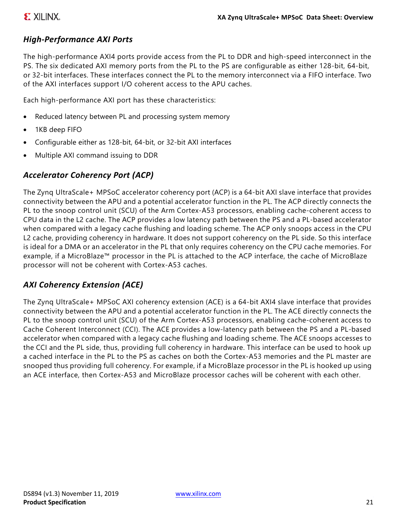#### *High-Performance AXI Ports*

The high-performance AXI4 ports provide access from the PL to DDR and high-speed interconnect in the PS. The six dedicated AXI memory ports from the PL to the PS are configurable as either 128-bit, 64-bit, or 32-bit interfaces. These interfaces connect the PL to the memory interconnect via a FIFO interface. Two of the AXI interfaces support I/O coherent access to the APU caches.

Each high-performance AXI port has these characteristics:

- Reduced latency between PL and processing system memory
- 1KB deep FIFO
- Configurable either as 128-bit, 64-bit, or 32-bit AXI interfaces
- Multiple AXI command issuing to DDR

#### *Accelerator Coherency Port (ACP)*

The Zynq UltraScale+ MPSoC accelerator coherency port (ACP) is a 64-bit AXI slave interface that provides connectivity between the APU and a potential accelerator function in the PL. The ACP directly connects the PL to the snoop control unit (SCU) of the Arm Cortex-A53 processors, enabling cache-coherent access to CPU data in the L2 cache. The ACP provides a low latency path between the PS and a PL-based accelerator when compared with a legacy cache flushing and loading scheme. The ACP only snoops access in the CPU L2 cache, providing coherency in hardware. It does not support coherency on the PL side. So this interface is ideal for a DMA or an accelerator in the PL that only requires coherency on the CPU cache memories. For example, if a MicroBlaze™ processor in the PL is attached to the ACP interface, the cache of MicroBlaze processor will not be coherent with Cortex-A53 caches.

#### *AXI Coherency Extension (ACE)*

The Zynq UltraScale+ MPSoC AXI coherency extension (ACE) is a 64-bit AXI4 slave interface that provides connectivity between the APU and a potential accelerator function in the PL. The ACE directly connects the PL to the snoop control unit (SCU) of the Arm Cortex-A53 processors, enabling cache-coherent access to Cache Coherent Interconnect (CCI). The ACE provides a low-latency path between the PS and a PL-based accelerator when compared with a legacy cache flushing and loading scheme. The ACE snoops accesses to the CCI and the PL side, thus, providing full coherency in hardware. This interface can be used to hook up a cached interface in the PL to the PS as caches on both the Cortex-A53 memories and the PL master are snooped thus providing full coherency. For example, if a MicroBlaze processor in the PL is hooked up using an ACE interface, then Cortex-A53 and MicroBlaze processor caches will be coherent with each other.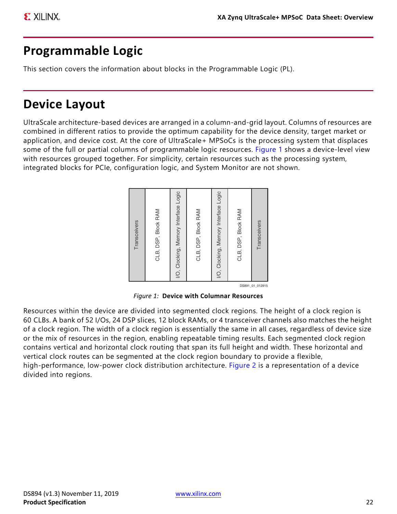# **Programmable Logic**

This section covers the information about blocks in the Programmable Logic (PL).

# **Device Layout**

<span id="page-21-0"></span>UltraScale architecture-based devices are arranged in a column-and-grid layout. Columns of resources are combined in different ratios to provide the optimum capability for the device density, target market or application, and device cost. At the core of UltraScale+ MPSoCs is the processing system that displaces some of the full or partial columns of programmable logic resources. [Figure 1](#page-21-0) shows a device-level view with resources grouped together. For simplicity, certain resources such as the processing system, integrated blocks for PCIe, configuration logic, and System Monitor are not shown.



DS891\_01\_012915

Resources within the device are divided into segmented clock regions. The height of a clock region is 60 CLBs. A bank of 52 I/Os, 24 DSP slices, 12 block RAMs, or 4 transceiver channels also matches the height of a clock region. The width of a clock region is essentially the same in all cases, regardless of device size or the mix of resources in the region, enabling repeatable timing results. Each segmented clock region contains vertical and horizontal clock routing that span its full height and width. These horizontal and vertical clock routes can be segmented at the clock region boundary to provide a flexible, high-performance, low-power clock distribution architecture. [Figure 2](#page-22-0) is a representation of a device divided into regions.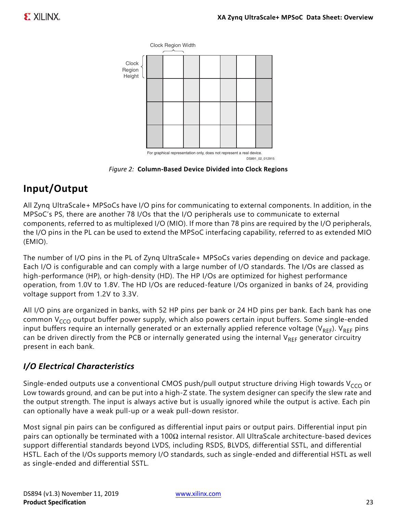<span id="page-22-0"></span>

*Figure 2:* **Column-Based Device Divided into Clock Regions**

# **Input/Output**

All Zynq UltraScale+ MPSoCs have I/O pins for communicating to external components. In addition, in the MPSoC's PS, there are another 78 I/Os that the I/O peripherals use to communicate to external components, referred to as multiplexed I/O (MIO). If more than 78 pins are required by the I/O peripherals, the I/O pins in the PL can be used to extend the MPSoC interfacing capability, referred to as extended MIO (EMIO).

The number of I/O pins in the PL of Zynq UltraScale+ MPSoCs varies depending on device and package. Each I/O is configurable and can comply with a large number of I/O standards. The I/Os are classed as high-performance (HP), or high-density (HD). The HP I/Os are optimized for highest performance operation, from 1.0V to 1.8V. The HD I/Os are reduced-feature I/Os organized in banks of 24, providing voltage support from 1.2V to 3.3V.

All I/O pins are organized in banks, with 52 HP pins per bank or 24 HD pins per bank. Each bank has one common  $V_{CCO}$  output buffer power supply, which also powers certain input buffers. Some single-ended input buffers require an internally generated or an externally applied reference voltage ( $V_{REF}$ ).  $V_{REF}$  pins can be driven directly from the PCB or internally generated using the internal  $V_{REF}$  generator circuitry present in each bank.

### *I/O Electrical Characteristics*

Single-ended outputs use a conventional CMOS push/pull output structure driving High towards  $V_{CCO}$  or Low towards ground, and can be put into a high-Z state. The system designer can specify the slew rate and the output strength. The input is always active but is usually ignored while the output is active. Each pin can optionally have a weak pull-up or a weak pull-down resistor.

Most signal pin pairs can be configured as differential input pairs or output pairs. Differential input pin pairs can optionally be terminated with a 100 $\Omega$  internal resistor. All UltraScale architecture-based devices support differential standards beyond LVDS, including RSDS, BLVDS, differential SSTL, and differential HSTL. Each of the I/Os supports memory I/O standards, such as single-ended and differential HSTL as well as single-ended and differential SSTL.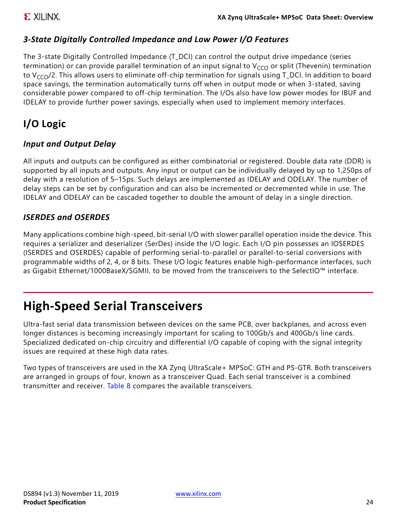#### *3-State Digitally Controlled Impedance and Low Power I/O Features*

The 3-state Digitally Controlled Impedance (T\_DCI) can control the output drive impedance (series termination) or can provide parallel termination of an input signal to  $V_{CCO}$  or split (Thevenin) termination to  $V_{CCO}/2$ . This allows users to eliminate off-chip termination for signals using T\_DCI. In addition to board space savings, the termination automatically turns off when in output mode or when 3-stated, saving considerable power compared to off-chip termination. The I/Os also have low power modes for IBUF and IDELAY to provide further power savings, especially when used to implement memory interfaces.

# **I/O Logic**

#### *Input and Output Delay*

All inputs and outputs can be configured as either combinatorial or registered. Double data rate (DDR) is supported by all inputs and outputs. Any input or output can be individually delayed by up to 1,250ps of delay with a resolution of 5–15ps. Such delays are implemented as IDELAY and ODELAY. The number of delay steps can be set by configuration and can also be incremented or decremented while in use. The IDELAY and ODELAY can be cascaded together to double the amount of delay in a single direction.

#### *ISERDES and OSERDES*

Many applications combine high-speed, bit-serial I/O with slower parallel operation inside the device. This requires a serializer and deserializer (SerDes) inside the I/O logic. Each I/O pin possesses an IOSERDES (ISERDES and OSERDES) capable of performing serial-to-parallel or parallel-to-serial conversions with programmable widths of 2, 4, or 8 bits. These I/O logic features enable high-performance interfaces, such as Gigabit Ethernet/1000BaseX/SGMII, to be moved from the transceivers to the SelectIO™ interface.

# **High-Speed Serial Transceivers**

Ultra-fast serial data transmission between devices on the same PCB, over backplanes, and across even longer distances is becoming increasingly important for scaling to 100Gb/s and 400Gb/s line cards. Specialized dedicated on-chip circuitry and differential I/O capable of coping with the signal integrity issues are required at these high data rates.

Two types of transceivers are used in the XA Zynq UltraScale+ MPSoC: GTH and PS-GTR. Both transceivers are arranged in groups of four, known as a transceiver Quad. Each serial transceiver is a combined transmitter and receiver. [Table 8](#page-24-0) compares the available transceivers.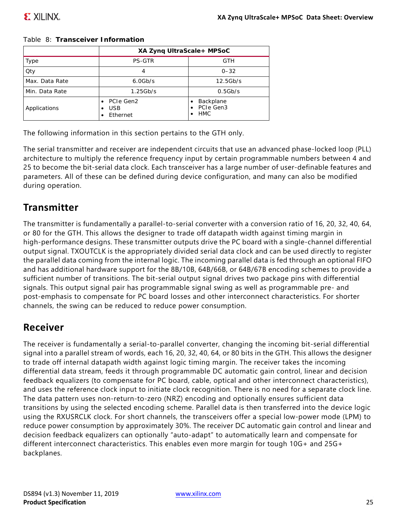|                | XA Zynq UltraScale+ MPSoC           |                                                   |  |  |
|----------------|-------------------------------------|---------------------------------------------------|--|--|
| Type           | <b>PS-GTR</b>                       | <b>GTH</b>                                        |  |  |
| Qty            | 4                                   | $0 - 32$                                          |  |  |
| Max. Data Rate | $6.0$ Gb/s                          | $12.5$ Gb/s                                       |  |  |
| Min. Data Rate | $1.25$ Gb/s                         | 0.5Gb/s                                           |  |  |
| Applications   | PCIe Gen2<br><b>USB</b><br>Ethernet | Backplane<br>PCIe Gen3<br>$\bullet$<br><b>HMC</b> |  |  |

#### <span id="page-24-0"></span>*Table 8:* **Transceiver Information**

The following information in this section pertains to the GTH only.

The serial transmitter and receiver are independent circuits that use an advanced phase-locked loop (PLL) architecture to multiply the reference frequency input by certain programmable numbers between 4 and 25 to become the bit-serial data clock. Each transceiver has a large number of user-definable features and parameters. All of these can be defined during device configuration, and many can also be modified during operation.

### **Transmitter**

The transmitter is fundamentally a parallel-to-serial converter with a conversion ratio of 16, 20, 32, 40, 64, or 80 for the GTH. This allows the designer to trade off datapath width against timing margin in high-performance designs. These transmitter outputs drive the PC board with a single-channel differential output signal. TXOUTCLK is the appropriately divided serial data clock and can be used directly to register the parallel data coming from the internal logic. The incoming parallel data is fed through an optional FIFO and has additional hardware support for the 8B/10B, 64B/66B, or 64B/67B encoding schemes to provide a sufficient number of transitions. The bit-serial output signal drives two package pins with differential signals. This output signal pair has programmable signal swing as well as programmable pre- and post-emphasis to compensate for PC board losses and other interconnect characteristics. For shorter channels, the swing can be reduced to reduce power consumption.

### **Receiver**

The receiver is fundamentally a serial-to-parallel converter, changing the incoming bit-serial differential signal into a parallel stream of words, each 16, 20, 32, 40, 64, or 80 bits in the GTH. This allows the designer to trade off internal datapath width against logic timing margin. The receiver takes the incoming differential data stream, feeds it through programmable DC automatic gain control, linear and decision feedback equalizers (to compensate for PC board, cable, optical and other interconnect characteristics), and uses the reference clock input to initiate clock recognition. There is no need for a separate clock line. The data pattern uses non-return-to-zero (NRZ) encoding and optionally ensures sufficient data transitions by using the selected encoding scheme. Parallel data is then transferred into the device logic using the RXUSRCLK clock. For short channels, the transceivers offer a special low-power mode (LPM) to reduce power consumption by approximately 30%. The receiver DC automatic gain control and linear and decision feedback equalizers can optionally "auto-adapt" to automatically learn and compensate for different interconnect characteristics. This enables even more margin for tough 10G+ and 25G+ backplanes.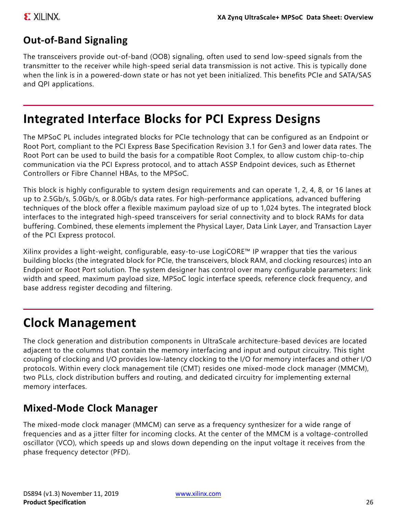# **Out-of-Band Signaling**

The transceivers provide out-of-band (OOB) signaling, often used to send low-speed signals from the transmitter to the receiver while high-speed serial data transmission is not active. This is typically done when the link is in a powered-down state or has not yet been initialized. This benefits PCIe and SATA/SAS and QPI applications.

# **Integrated Interface Blocks for PCI Express Designs**

The MPSoC PL includes integrated blocks for PCIe technology that can be configured as an Endpoint or Root Port, compliant to the PCI Express Base Specification Revision 3.1 for Gen3 and lower data rates. The Root Port can be used to build the basis for a compatible Root Complex, to allow custom chip-to-chip communication via the PCI Express protocol, and to attach ASSP Endpoint devices, such as Ethernet Controllers or Fibre Channel HBAs, to the MPSoC.

This block is highly configurable to system design requirements and can operate 1, 2, 4, 8, or 16 lanes at up to 2.5Gb/s, 5.0Gb/s, or 8.0Gb/s data rates. For high-performance applications, advanced buffering techniques of the block offer a flexible maximum payload size of up to 1,024 bytes. The integrated block interfaces to the integrated high-speed transceivers for serial connectivity and to block RAMs for data buffering. Combined, these elements implement the Physical Layer, Data Link Layer, and Transaction Layer of the PCI Express protocol.

Xilinx provides a light-weight, configurable, easy-to-use LogiCORE™ IP wrapper that ties the various building blocks (the integrated block for PCIe, the transceivers, block RAM, and clocking resources) into an Endpoint or Root Port solution. The system designer has control over many configurable parameters: link width and speed, maximum payload size, MPSoC logic interface speeds, reference clock frequency, and base address register decoding and filtering.

# **Clock Management**

The clock generation and distribution components in UltraScale architecture-based devices are located adjacent to the columns that contain the memory interfacing and input and output circuitry. This tight coupling of clocking and I/O provides low-latency clocking to the I/O for memory interfaces and other I/O protocols. Within every clock management tile (CMT) resides one mixed-mode clock manager (MMCM), two PLLs, clock distribution buffers and routing, and dedicated circuitry for implementing external memory interfaces.

### **Mixed-Mode Clock Manager**

The mixed-mode clock manager (MMCM) can serve as a frequency synthesizer for a wide range of frequencies and as a jitter filter for incoming clocks. At the center of the MMCM is a voltage-controlled oscillator (VCO), which speeds up and slows down depending on the input voltage it receives from the phase frequency detector (PFD).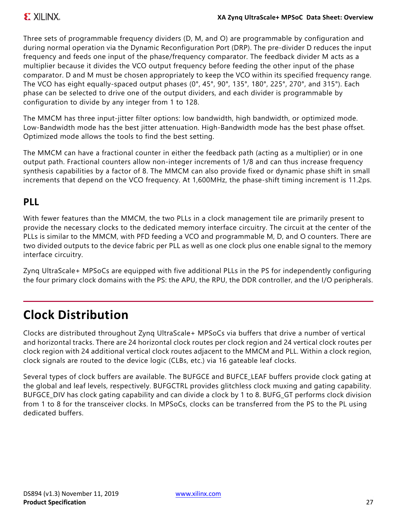Three sets of programmable frequency dividers (D, M, and O) are programmable by configuration and during normal operation via the Dynamic Reconfiguration Port (DRP). The pre-divider D reduces the input frequency and feeds one input of the phase/frequency comparator. The feedback divider M acts as a multiplier because it divides the VCO output frequency before feeding the other input of the phase comparator. D and M must be chosen appropriately to keep the VCO within its specified frequency range. The VCO has eight equally-spaced output phases (0°, 45°, 90°, 135°, 180°, 225°, 270°, and 315°). Each phase can be selected to drive one of the output dividers, and each divider is programmable by configuration to divide by any integer from 1 to 128.

The MMCM has three input-jitter filter options: low bandwidth, high bandwidth, or optimized mode. Low-Bandwidth mode has the best jitter attenuation. High-Bandwidth mode has the best phase offset. Optimized mode allows the tools to find the best setting.

The MMCM can have a fractional counter in either the feedback path (acting as a multiplier) or in one output path. Fractional counters allow non-integer increments of 1/8 and can thus increase frequency synthesis capabilities by a factor of 8. The MMCM can also provide fixed or dynamic phase shift in small increments that depend on the VCO frequency. At 1,600MHz, the phase-shift timing increment is 11.2ps.

# **PLL**

With fewer features than the MMCM, the two PLLs in a clock management tile are primarily present to provide the necessary clocks to the dedicated memory interface circuitry. The circuit at the center of the PLLs is similar to the MMCM, with PFD feeding a VCO and programmable M, D, and O counters. There are two divided outputs to the device fabric per PLL as well as one clock plus one enable signal to the memory interface circuitry.

Zynq UltraScale+ MPSoCs are equipped with five additional PLLs in the PS for independently configuring the four primary clock domains with the PS: the APU, the RPU, the DDR controller, and the I/O peripherals.

# **Clock Distribution**

Clocks are distributed throughout Zynq UltraScale+ MPSoCs via buffers that drive a number of vertical and horizontal tracks. There are 24 horizontal clock routes per clock region and 24 vertical clock routes per clock region with 24 additional vertical clock routes adjacent to the MMCM and PLL. Within a clock region, clock signals are routed to the device logic (CLBs, etc.) via 16 gateable leaf clocks.

Several types of clock buffers are available. The BUFGCE and BUFCE LEAF buffers provide clock gating at the global and leaf levels, respectively. BUFGCTRL provides glitchless clock muxing and gating capability. BUFGCE\_DIV has clock gating capability and can divide a clock by 1 to 8. BUFG\_GT performs clock division from 1 to 8 for the transceiver clocks. In MPSoCs, clocks can be transferred from the PS to the PL using dedicated buffers.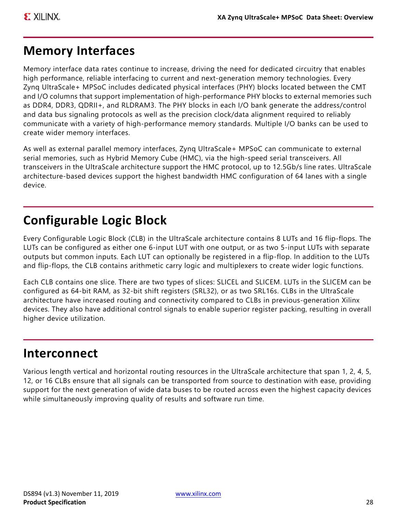# **Memory Interfaces**

Memory interface data rates continue to increase, driving the need for dedicated circuitry that enables high performance, reliable interfacing to current and next-generation memory technologies. Every Zynq UltraScale+ MPSoC includes dedicated physical interfaces (PHY) blocks located between the CMT and I/O columns that support implementation of high-performance PHY blocks to external memories such as DDR4, DDR3, QDRII+, and RLDRAM3. The PHY blocks in each I/O bank generate the address/control and data bus signaling protocols as well as the precision clock/data alignment required to reliably communicate with a variety of high-performance memory standards. Multiple I/O banks can be used to create wider memory interfaces.

As well as external parallel memory interfaces, Zynq UltraScale+ MPSoC can communicate to external serial memories, such as Hybrid Memory Cube (HMC), via the high-speed serial transceivers. All transceivers in the UltraScale architecture support the HMC protocol, up to 12.5Gb/s line rates. UltraScale architecture-based devices support the highest bandwidth HMC configuration of 64 lanes with a single device.

# **Configurable Logic Block**

Every Configurable Logic Block (CLB) in the UltraScale architecture contains 8 LUTs and 16 flip-flops. The LUTs can be configured as either one 6-input LUT with one output, or as two 5-input LUTs with separate outputs but common inputs. Each LUT can optionally be registered in a flip-flop. In addition to the LUTs and flip-flops, the CLB contains arithmetic carry logic and multiplexers to create wider logic functions.

Each CLB contains one slice. There are two types of slices: SLICEL and SLICEM. LUTs in the SLICEM can be configured as 64-bit RAM, as 32-bit shift registers (SRL32), or as two SRL16s. CLBs in the UltraScale architecture have increased routing and connectivity compared to CLBs in previous-generation Xilinx devices. They also have additional control signals to enable superior register packing, resulting in overall higher device utilization.

# **Interconnect**

Various length vertical and horizontal routing resources in the UltraScale architecture that span 1, 2, 4, 5, 12, or 16 CLBs ensure that all signals can be transported from source to destination with ease, providing support for the next generation of wide data buses to be routed across even the highest capacity devices while simultaneously improving quality of results and software run time.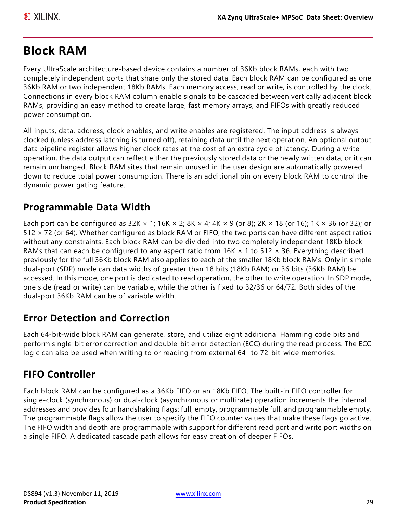# **Block RAM**

Every UltraScale architecture-based device contains a number of 36Kb block RAMs, each with two completely independent ports that share only the stored data. Each block RAM can be configured as one 36Kb RAM or two independent 18Kb RAMs. Each memory access, read or write, is controlled by the clock. Connections in every block RAM column enable signals to be cascaded between vertically adjacent block RAMs, providing an easy method to create large, fast memory arrays, and FIFOs with greatly reduced power consumption.

All inputs, data, address, clock enables, and write enables are registered. The input address is always clocked (unless address latching is turned off), retaining data until the next operation. An optional output data pipeline register allows higher clock rates at the cost of an extra cycle of latency. During a write operation, the data output can reflect either the previously stored data or the newly written data, or it can remain unchanged. Block RAM sites that remain unused in the user design are automatically powered down to reduce total power consumption. There is an additional pin on every block RAM to control the dynamic power gating feature.

# **Programmable Data Width**

Each port can be configured as  $32K \times 1$ ; 16K  $\times 2$ ; 8K  $\times 4$ ; 4K  $\times 9$  (or 8); 2K  $\times 18$  (or 16); 1K  $\times 36$  (or 32); or 512 × 72 (or 64). Whether configured as block RAM or FIFO, the two ports can have different aspect ratios without any constraints. Each block RAM can be divided into two completely independent 18Kb block RAMs that can each be configured to any aspect ratio from  $16K \times 1$  to  $512 \times 36$ . Everything described previously for the full 36Kb block RAM also applies to each of the smaller 18Kb block RAMs. Only in simple dual-port (SDP) mode can data widths of greater than 18 bits (18Kb RAM) or 36 bits (36Kb RAM) be accessed. In this mode, one port is dedicated to read operation, the other to write operation. In SDP mode, one side (read or write) can be variable, while the other is fixed to 32/36 or 64/72. Both sides of the dual-port 36Kb RAM can be of variable width.

# **Error Detection and Correction**

Each 64-bit-wide block RAM can generate, store, and utilize eight additional Hamming code bits and perform single-bit error correction and double-bit error detection (ECC) during the read process. The ECC logic can also be used when writing to or reading from external 64- to 72-bit-wide memories.

# **FIFO Controller**

Each block RAM can be configured as a 36Kb FIFO or an 18Kb FIFO. The built-in FIFO controller for single-clock (synchronous) or dual-clock (asynchronous or multirate) operation increments the internal addresses and provides four handshaking flags: full, empty, programmable full, and programmable empty. The programmable flags allow the user to specify the FIFO counter values that make these flags go active. The FIFO width and depth are programmable with support for different read port and write port widths on a single FIFO. A dedicated cascade path allows for easy creation of deeper FIFOs.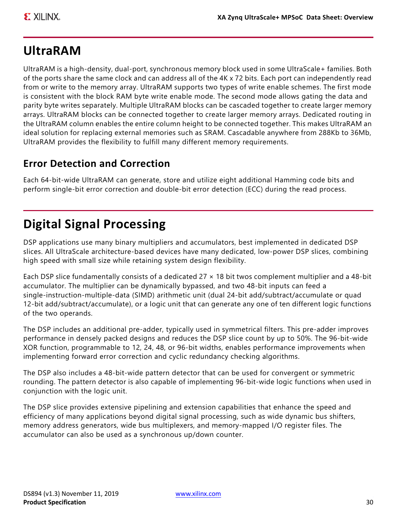# **UltraRAM**

UltraRAM is a high-density, dual-port, synchronous memory block used in some UltraScale+ families. Both of the ports share the same clock and can address all of the 4K x 72 bits. Each port can independently read from or write to the memory array. UltraRAM supports two types of write enable schemes. The first mode is consistent with the block RAM byte write enable mode. The second mode allows gating the data and parity byte writes separately. Multiple UltraRAM blocks can be cascaded together to create larger memory arrays. UltraRAM blocks can be connected together to create larger memory arrays. Dedicated routing in the UltraRAM column enables the entire column height to be connected together. This makes UltraRAM an ideal solution for replacing external memories such as SRAM. Cascadable anywhere from 288Kb to 36Mb, UltraRAM provides the flexibility to fulfill many different memory requirements.

# **Error Detection and Correction**

Each 64-bit-wide UltraRAM can generate, store and utilize eight additional Hamming code bits and perform single-bit error correction and double-bit error detection (ECC) during the read process.

# **Digital Signal Processing**

DSP applications use many binary multipliers and accumulators, best implemented in dedicated DSP slices. All UltraScale architecture-based devices have many dedicated, low-power DSP slices, combining high speed with small size while retaining system design flexibility.

Each DSP slice fundamentally consists of a dedicated 27 × 18 bit twos complement multiplier and a 48-bit accumulator. The multiplier can be dynamically bypassed, and two 48-bit inputs can feed a single-instruction-multiple-data (SIMD) arithmetic unit (dual 24-bit add/subtract/accumulate or quad 12-bit add/subtract/accumulate), or a logic unit that can generate any one of ten different logic functions of the two operands.

The DSP includes an additional pre-adder, typically used in symmetrical filters. This pre-adder improves performance in densely packed designs and reduces the DSP slice count by up to 50%. The 96-bit-wide XOR function, programmable to 12, 24, 48, or 96-bit widths, enables performance improvements when implementing forward error correction and cyclic redundancy checking algorithms.

The DSP also includes a 48-bit-wide pattern detector that can be used for convergent or symmetric rounding. The pattern detector is also capable of implementing 96-bit-wide logic functions when used in conjunction with the logic unit.

The DSP slice provides extensive pipelining and extension capabilities that enhance the speed and efficiency of many applications beyond digital signal processing, such as wide dynamic bus shifters, memory address generators, wide bus multiplexers, and memory-mapped I/O register files. The accumulator can also be used as a synchronous up/down counter.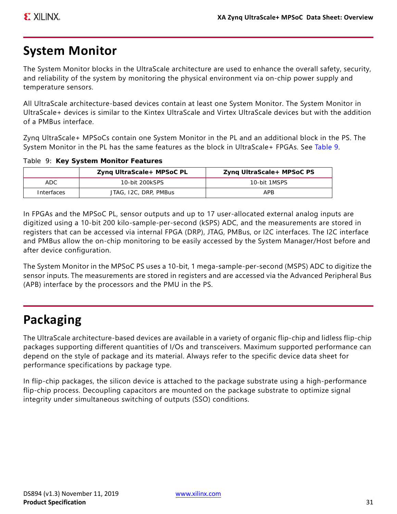# **System Monitor**

The System Monitor blocks in the UltraScale architecture are used to enhance the overall safety, security, and reliability of the system by monitoring the physical environment via on-chip power supply and temperature sensors.

All UltraScale architecture-based devices contain at least one System Monitor. The System Monitor in UltraScale+ devices is similar to the Kintex UltraScale and Virtex UltraScale devices but with the addition of a PMBus interface.

Zynq UltraScale+ MPSoCs contain one System Monitor in the PL and an additional block in the PS. The System Monitor in the PL has the same features as the block in UltraScale+ FPGAs. See [Table 9.](#page-30-0)

|            | Zyng UltraScale+ MPSoC PL | Zyng UltraScale+ MPSoC PS |
|------------|---------------------------|---------------------------|
| ADC        | 10-bit 200kSPS            | 10-bit 1MSPS              |
| Interfaces | JTAG, I2C, DRP, PMBus     | APR                       |

<span id="page-30-0"></span>*Table 9:* **Key System Monitor Features**

In FPGAs and the MPSoC PL, sensor outputs and up to 17 user-allocated external analog inputs are digitized using a 10-bit 200 kilo-sample-per-second (kSPS) ADC, and the measurements are stored in registers that can be accessed via internal FPGA (DRP), JTAG, PMBus, or I2C interfaces. The I2C interface and PMBus allow the on-chip monitoring to be easily accessed by the System Manager/Host before and after device configuration.

The System Monitor in the MPSoC PS uses a 10-bit, 1 mega-sample-per-second (MSPS) ADC to digitize the sensor inputs. The measurements are stored in registers and are accessed via the Advanced Peripheral Bus (APB) interface by the processors and the PMU in the PS.

# **Packaging**

The UltraScale architecture-based devices are available in a variety of organic flip-chip and lidless flip-chip packages supporting different quantities of I/Os and transceivers. Maximum supported performance can depend on the style of package and its material. Always refer to the specific device data sheet for performance specifications by package type.

In flip-chip packages, the silicon device is attached to the package substrate using a high-performance flip-chip process. Decoupling capacitors are mounted on the package substrate to optimize signal integrity under simultaneous switching of outputs (SSO) conditions.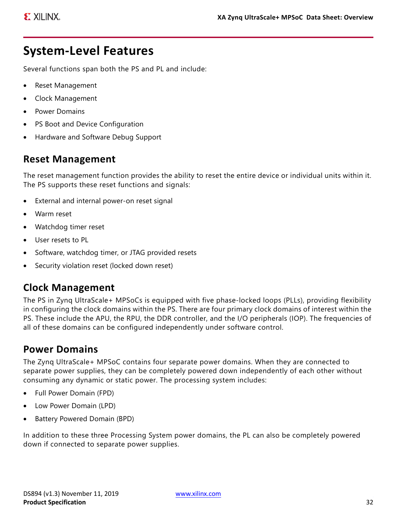# **System-Level Features**

Several functions span both the PS and PL and include:

- Reset Management
- Clock Management
- Power Domains
- PS Boot and Device Configuration
- Hardware and Software Debug Support

### **Reset Management**

The reset management function provides the ability to reset the entire device or individual units within it. The PS supports these reset functions and signals:

- External and internal power-on reset signal
- Warm reset
- Watchdog timer reset
- User resets to PL
- Software, watchdog timer, or JTAG provided resets
- Security violation reset (locked down reset)

### **Clock Management**

The PS in Zynq UltraScale+ MPSoCs is equipped with five phase-locked loops (PLLs), providing flexibility in configuring the clock domains within the PS. There are four primary clock domains of interest within the PS. These include the APU, the RPU, the DDR controller, and the I/O peripherals (IOP). The frequencies of all of these domains can be configured independently under software control.

### **Power Domains**

The Zynq UltraScale+ MPSoC contains four separate power domains. When they are connected to separate power supplies, they can be completely powered down independently of each other without consuming any dynamic or static power. The processing system includes:

- Full Power Domain (FPD)
- Low Power Domain (LPD)
- Battery Powered Domain (BPD)

In addition to these three Processing System power domains, the PL can also be completely powered down if connected to separate power supplies.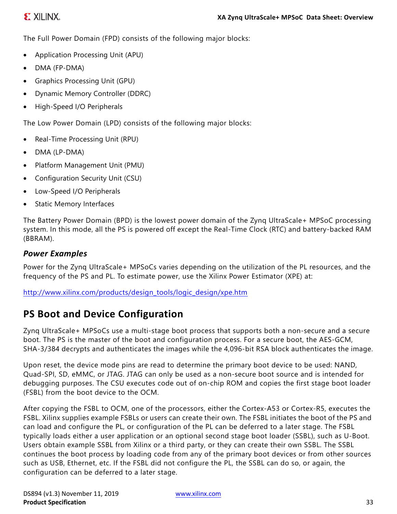### **EXILINX**

The Full Power Domain (FPD) consists of the following major blocks:

- Application Processing Unit (APU)
- DMA (FP-DMA)
- Graphics Processing Unit (GPU)
- Dynamic Memory Controller (DDRC)
- High-Speed I/O Peripherals

The Low Power Domain (LPD) consists of the following major blocks:

- Real-Time Processing Unit (RPU)
- DMA (LP-DMA)
- Platform Management Unit (PMU)
- Configuration Security Unit (CSU)
- Low-Speed I/O Peripherals
- Static Memory Interfaces

The Battery Power Domain (BPD) is the lowest power domain of the Zynq UltraScale+ MPSoC processing system. In this mode, all the PS is powered off except the Real-Time Clock (RTC) and battery-backed RAM (BBRAM).

#### *Power Examples*

Power for the Zynq UltraScale+ MPSoCs varies depending on the utilization of the PL resources, and the frequency of the PS and PL. To estimate power, use the Xilinx Power Estimator (XPE) at:

[http://www.xilinx.com/products/design\\_tools/logic\\_design/xpe.htm](http://www.xilinx.com/products/design_tools/logic_design/xpe.htm)

### **PS Boot and Device Configuration**

Zynq UltraScale+ MPSoCs use a multi-stage boot process that supports both a non-secure and a secure boot. The PS is the master of the boot and configuration process. For a secure boot, the AES-GCM, SHA-3/384 decrypts and authenticates the images while the 4,096-bit RSA block authenticates the image.

Upon reset, the device mode pins are read to determine the primary boot device to be used: NAND, Quad-SPI, SD, eMMC, or JTAG. JTAG can only be used as a non-secure boot source and is intended for debugging purposes. The CSU executes code out of on-chip ROM and copies the first stage boot loader (FSBL) from the boot device to the OCM.

After copying the FSBL to OCM, one of the processors, either the Cortex-A53 or Cortex-R5, executes the FSBL. Xilinx supplies example FSBLs or users can create their own. The FSBL initiates the boot of the PS and can load and configure the PL, or configuration of the PL can be deferred to a later stage. The FSBL typically loads either a user application or an optional second stage boot loader (SSBL), such as U-Boot. Users obtain example SSBL from Xilinx or a third party, or they can create their own SSBL. The SSBL continues the boot process by loading code from any of the primary boot devices or from other sources such as USB, Ethernet, etc. If the FSBL did not configure the PL, the SSBL can do so, or again, the configuration can be deferred to a later stage.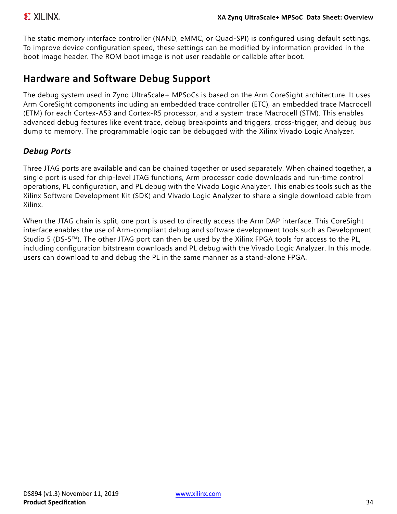The static memory interface controller (NAND, eMMC, or Quad-SPI) is configured using default settings. To improve device configuration speed, these settings can be modified by information provided in the boot image header. The ROM boot image is not user readable or callable after boot.

## **Hardware and Software Debug Support**

The debug system used in Zynq UltraScale+ MPSoCs is based on the Arm CoreSight architecture. It uses Arm CoreSight components including an embedded trace controller (ETC), an embedded trace Macrocell (ETM) for each Cortex-A53 and Cortex-R5 processor, and a system trace Macrocell (STM). This enables advanced debug features like event trace, debug breakpoints and triggers, cross-trigger, and debug bus dump to memory. The programmable logic can be debugged with the Xilinx Vivado Logic Analyzer.

### *Debug Ports*

Three JTAG ports are available and can be chained together or used separately. When chained together, a single port is used for chip-level JTAG functions, Arm processor code downloads and run-time control operations, PL configuration, and PL debug with the Vivado Logic Analyzer. This enables tools such as the Xilinx Software Development Kit (SDK) and Vivado Logic Analyzer to share a single download cable from Xilinx.

When the JTAG chain is split, one port is used to directly access the Arm DAP interface. This CoreSight interface enables the use of Arm-compliant debug and software development tools such as Development Studio 5 (DS-5™). The other JTAG port can then be used by the Xilinx FPGA tools for access to the PL, including configuration bitstream downloads and PL debug with the Vivado Logic Analyzer. In this mode, users can download to and debug the PL in the same manner as a stand-alone FPGA.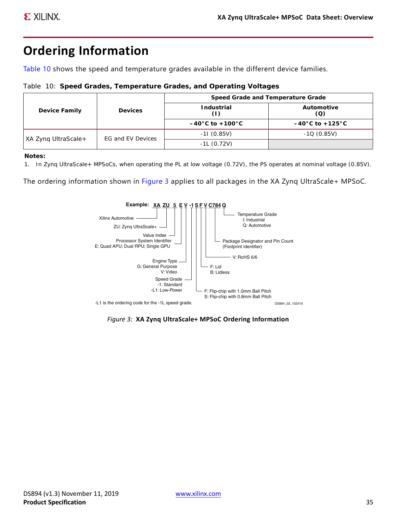# <span id="page-34-0"></span>**Ordering Information**

[Table 10](#page-34-1) shows the speed and temperature grades available in the different device families.

<span id="page-34-1"></span>

|  |  |  |  | Table 10: Speed Grades, Temperature Grades, and Operating Voltages |  |  |  |  |
|--|--|--|--|--------------------------------------------------------------------|--|--|--|--|
|--|--|--|--|--------------------------------------------------------------------|--|--|--|--|

|                     | <b>Devices</b><br>EG and EV Devices | Speed Grade and Temperature Grade   |                                     |
|---------------------|-------------------------------------|-------------------------------------|-------------------------------------|
| Device Family       |                                     | Industrial                          | Automotive<br>(Q)                   |
|                     |                                     | $-40^{\circ}$ C to $+100^{\circ}$ C | $-40^{\circ}$ C to $+125^{\circ}$ C |
|                     |                                     | $-11(0.85V)$                        | $-1Q(0.85V)$                        |
| XA Zyng UltraScale+ |                                     | $-1L(0.72V)$                        |                                     |

#### **Notes:**

1. In Zynq UltraScale+ MPSoCs, when operating the PL at low voltage (0.72V), the PS operates at nominal voltage (0.85V).

<span id="page-34-2"></span>The ordering information shown in [Figure 3](#page-34-2) applies to all packages in the XA Zynq UltraScale+ MPSoC.



*Figure 3:* **XA Zynq UltraScale+ MPSoC Ordering Information**